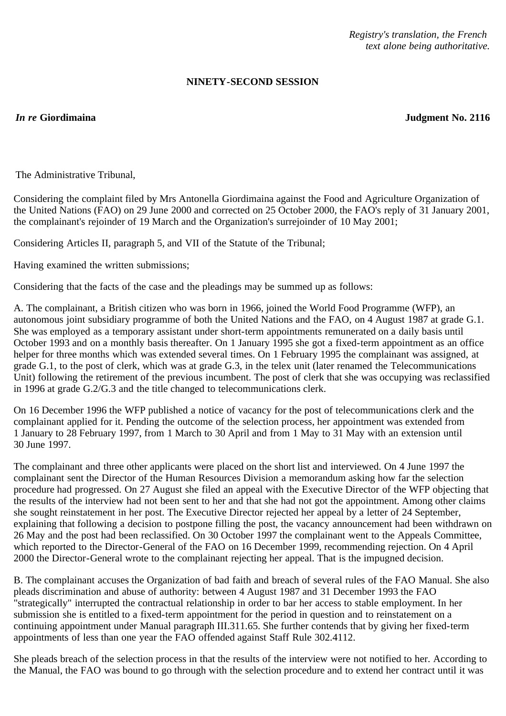## **NINETY-SECOND SESSION**

*In re* **Giordimaina Judgment No. 2116**

The Administrative Tribunal,

Considering the complaint filed by Mrs Antonella Giordimaina against the Food and Agriculture Organization of the United Nations (FAO) on 29 June 2000 and corrected on 25 October 2000, the FAO's reply of 31 January 2001, the complainant's rejoinder of 19 March and the Organization's surrejoinder of 10 May 2001;

Considering Articles II, paragraph 5, and VII of the Statute of the Tribunal;

Having examined the written submissions;

Considering that the facts of the case and the pleadings may be summed up as follows:

A. The complainant, a British citizen who was born in 1966, joined the World Food Programme (WFP), an autonomous joint subsidiary programme of both the United Nations and the FAO, on 4 August 1987 at grade G.1. She was employed as a temporary assistant under short-term appointments remunerated on a daily basis until October 1993 and on a monthly basis thereafter. On 1 January 1995 she got a fixed-term appointment as an office helper for three months which was extended several times. On 1 February 1995 the complainant was assigned, at grade G.1, to the post of clerk, which was at grade G.3, in the telex unit (later renamed the Telecommunications Unit) following the retirement of the previous incumbent. The post of clerk that she was occupying was reclassified in 1996 at grade G.2/G.3 and the title changed to telecommunications clerk.

On 16 December 1996 the WFP published a notice of vacancy for the post of telecommunications clerk and the complainant applied for it. Pending the outcome of the selection process, her appointment was extended from 1 January to 28 February 1997, from 1 March to 30 April and from 1 May to 31 May with an extension until 30 June 1997.

The complainant and three other applicants were placed on the short list and interviewed. On 4 June 1997 the complainant sent the Director of the Human Resources Division a memorandum asking how far the selection procedure had progressed. On 27 August she filed an appeal with the Executive Director of the WFP objecting that the results of the interview had not been sent to her and that she had not got the appointment. Among other claims she sought reinstatement in her post. The Executive Director rejected her appeal by a letter of 24 September, explaining that following a decision to postpone filling the post, the vacancy announcement had been withdrawn on 26 May and the post had been reclassified. On 30 October 1997 the complainant went to the Appeals Committee, which reported to the Director-General of the FAO on 16 December 1999, recommending rejection. On 4 April 2000 the Director-General wrote to the complainant rejecting her appeal. That is the impugned decision.

B. The complainant accuses the Organization of bad faith and breach of several rules of the FAO Manual. She also pleads discrimination and abuse of authority: between 4 August 1987 and 31 December 1993 the FAO "strategically" interrupted the contractual relationship in order to bar her access to stable employment. In her submission she is entitled to a fixed-term appointment for the period in question and to reinstatement on a continuing appointment under Manual paragraph III.311.65. She further contends that by giving her fixed-term appointments of less than one year the FAO offended against Staff Rule 302.4112.

She pleads breach of the selection process in that the results of the interview were not notified to her. According to the Manual, the FAO was bound to go through with the selection procedure and to extend her contract until it was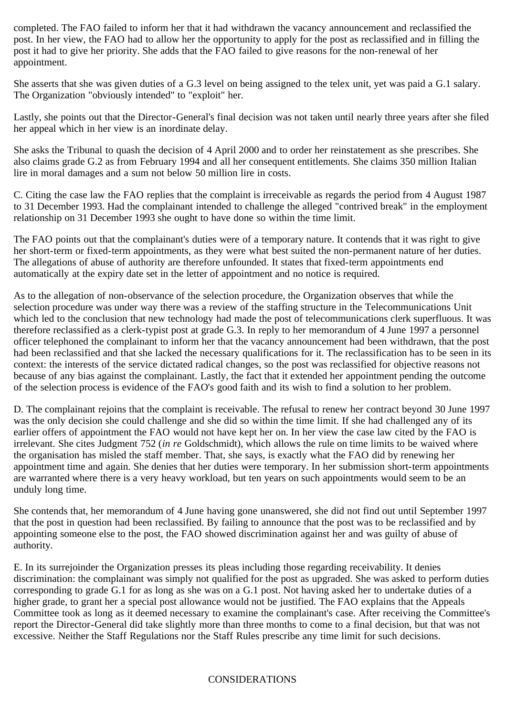completed. The FAO failed to inform her that it had withdrawn the vacancy announcement and reclassified the post. In her view, the FAO had to allow her the opportunity to apply for the post as reclassified and in filling the post it had to give her priority. She adds that the FAO failed to give reasons for the non-renewal of her appointment.

She asserts that she was given duties of a G.3 level on being assigned to the telex unit, yet was paid a G.1 salary. The Organization "obviously intended" to "exploit" her.

Lastly, she points out that the Director-General's final decision was not taken until nearly three years after she filed her appeal which in her view is an inordinate delay.

She asks the Tribunal to quash the decision of 4 April 2000 and to order her reinstatement as she prescribes. She also claims grade G.2 as from February 1994 and all her consequent entitlements. She claims 350 million Italian lire in moral damages and a sum not below 50 million lire in costs.

C. Citing the case law the FAO replies that the complaint is irreceivable as regards the period from 4 August 1987 to 31 December 1993. Had the complainant intended to challenge the alleged "contrived break" in the employment relationship on 31 December 1993 she ought to have done so within the time limit.

The FAO points out that the complainant's duties were of a temporary nature. It contends that it was right to give her short-term or fixed-term appointments, as they were what best suited the non-permanent nature of her duties. The allegations of abuse of authority are therefore unfounded. It states that fixed-term appointments end automatically at the expiry date set in the letter of appointment and no notice is required.

As to the allegation of non-observance of the selection procedure, the Organization observes that while the selection procedure was under way there was a review of the staffing structure in the Telecommunications Unit which led to the conclusion that new technology had made the post of telecommunications clerk superfluous. It was therefore reclassified as a clerk-typist post at grade G.3. In reply to her memorandum of 4 June 1997 a personnel officer telephoned the complainant to inform her that the vacancy announcement had been withdrawn, that the post had been reclassified and that she lacked the necessary qualifications for it. The reclassification has to be seen in its context: the interests of the service dictated radical changes, so the post was reclassified for objective reasons not because of any bias against the complainant. Lastly, the fact that it extended her appointment pending the outcome of the selection process is evidence of the FAO's good faith and its wish to find a solution to her problem.

D. The complainant rejoins that the complaint is receivable. The refusal to renew her contract beyond 30 June 1997 was the only decision she could challenge and she did so within the time limit. If she had challenged any of its earlier offers of appointment the FAO would not have kept her on. In her view the case law cited by the FAO is irrelevant. She cites Judgment 752 (*in re* Goldschmidt), which allows the rule on time limits to be waived where the organisation has misled the staff member. That, she says, is exactly what the FAO did by renewing her appointment time and again. She denies that her duties were temporary. In her submission short-term appointments are warranted where there is a very heavy workload, but ten years on such appointments would seem to be an unduly long time.

She contends that, her memorandum of 4 June having gone unanswered, she did not find out until September 1997 that the post in question had been reclassified. By failing to announce that the post was to be reclassified and by appointing someone else to the post, the FAO showed discrimination against her and was guilty of abuse of authority.

E. In its surrejoinder the Organization presses its pleas including those regarding receivability. It denies discrimination: the complainant was simply not qualified for the post as upgraded. She was asked to perform duties corresponding to grade G.1 for as long as she was on a G.1 post. Not having asked her to undertake duties of a higher grade, to grant her a special post allowance would not be justified. The FAO explains that the Appeals Committee took as long as it deemed necessary to examine the complainant's case. After receiving the Committee's report the Director-General did take slightly more than three months to come to a final decision, but that was not excessive. Neither the Staff Regulations nor the Staff Rules prescribe any time limit for such decisions.

### CONSIDERATIONS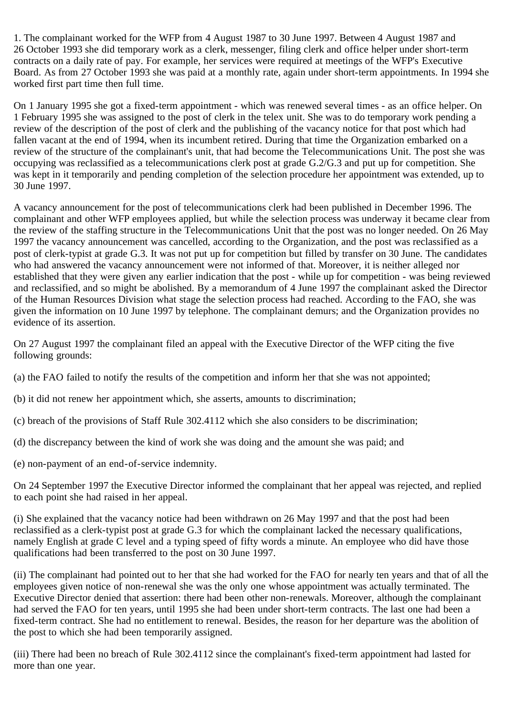1. The complainant worked for the WFP from 4 August 1987 to 30 June 1997. Between 4 August 1987 and 26 October 1993 she did temporary work as a clerk, messenger, filing clerk and office helper under short-term contracts on a daily rate of pay. For example, her services were required at meetings of the WFP's Executive Board. As from 27 October 1993 she was paid at a monthly rate, again under short-term appointments. In 1994 she worked first part time then full time.

On 1 January 1995 she got a fixed-term appointment - which was renewed several times - as an office helper. On 1 February 1995 she was assigned to the post of clerk in the telex unit. She was to do temporary work pending a review of the description of the post of clerk and the publishing of the vacancy notice for that post which had fallen vacant at the end of 1994, when its incumbent retired. During that time the Organization embarked on a review of the structure of the complainant's unit, that had become the Telecommunications Unit. The post she was occupying was reclassified as a telecommunications clerk post at grade G.2/G.3 and put up for competition. She was kept in it temporarily and pending completion of the selection procedure her appointment was extended, up to 30 June 1997.

A vacancy announcement for the post of telecommunications clerk had been published in December 1996. The complainant and other WFP employees applied, but while the selection process was underway it became clear from the review of the staffing structure in the Telecommunications Unit that the post was no longer needed. On 26 May 1997 the vacancy announcement was cancelled, according to the Organization, and the post was reclassified as a post of clerk-typist at grade G.3. It was not put up for competition but filled by transfer on 30 June. The candidates who had answered the vacancy announcement were not informed of that. Moreover, it is neither alleged nor established that they were given any earlier indication that the post - while up for competition - was being reviewed and reclassified, and so might be abolished. By a memorandum of 4 June 1997 the complainant asked the Director of the Human Resources Division what stage the selection process had reached. According to the FAO, she was given the information on 10 June 1997 by telephone. The complainant demurs; and the Organization provides no evidence of its assertion.

On 27 August 1997 the complainant filed an appeal with the Executive Director of the WFP citing the five following grounds:

- (a) the FAO failed to notify the results of the competition and inform her that she was not appointed;
- (b) it did not renew her appointment which, she asserts, amounts to discrimination;
- (c) breach of the provisions of Staff Rule 302.4112 which she also considers to be discrimination;
- (d) the discrepancy between the kind of work she was doing and the amount she was paid; and
- (e) non-payment of an end-of-service indemnity.

On 24 September 1997 the Executive Director informed the complainant that her appeal was rejected, and replied to each point she had raised in her appeal.

(i) She explained that the vacancy notice had been withdrawn on 26 May 1997 and that the post had been reclassified as a clerk-typist post at grade G.3 for which the complainant lacked the necessary qualifications, namely English at grade C level and a typing speed of fifty words a minute. An employee who did have those qualifications had been transferred to the post on 30 June 1997.

(ii) The complainant had pointed out to her that she had worked for the FAO for nearly ten years and that of all the employees given notice of non-renewal she was the only one whose appointment was actually terminated. The Executive Director denied that assertion: there had been other non-renewals. Moreover, although the complainant had served the FAO for ten years, until 1995 she had been under short-term contracts. The last one had been a fixed-term contract. She had no entitlement to renewal. Besides, the reason for her departure was the abolition of the post to which she had been temporarily assigned.

(iii) There had been no breach of Rule 302.4112 since the complainant's fixed-term appointment had lasted for more than one year.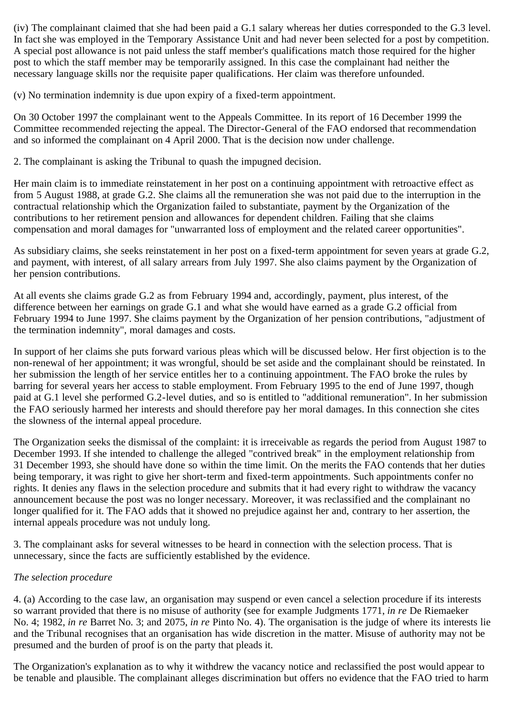(iv) The complainant claimed that she had been paid a G.1 salary whereas her duties corresponded to the G.3 level. In fact she was employed in the Temporary Assistance Unit and had never been selected for a post by competition. A special post allowance is not paid unless the staff member's qualifications match those required for the higher post to which the staff member may be temporarily assigned. In this case the complainant had neither the necessary language skills nor the requisite paper qualifications. Her claim was therefore unfounded.

(v) No termination indemnity is due upon expiry of a fixed-term appointment.

On 30 October 1997 the complainant went to the Appeals Committee. In its report of 16 December 1999 the Committee recommended rejecting the appeal. The Director-General of the FAO endorsed that recommendation and so informed the complainant on 4 April 2000. That is the decision now under challenge.

2. The complainant is asking the Tribunal to quash the impugned decision.

Her main claim is to immediate reinstatement in her post on a continuing appointment with retroactive effect as from 5 August 1988, at grade G.2. She claims all the remuneration she was not paid due to the interruption in the contractual relationship which the Organization failed to substantiate, payment by the Organization of the contributions to her retirement pension and allowances for dependent children. Failing that she claims compensation and moral damages for "unwarranted loss of employment and the related career opportunities".

As subsidiary claims, she seeks reinstatement in her post on a fixed-term appointment for seven years at grade G.2, and payment, with interest, of all salary arrears from July 1997. She also claims payment by the Organization of her pension contributions.

At all events she claims grade G.2 as from February 1994 and, accordingly, payment, plus interest, of the difference between her earnings on grade G.1 and what she would have earned as a grade G.2 official from February 1994 to June 1997. She claims payment by the Organization of her pension contributions, "adjustment of the termination indemnity", moral damages and costs.

In support of her claims she puts forward various pleas which will be discussed below. Her first objection is to the non-renewal of her appointment; it was wrongful, should be set aside and the complainant should be reinstated. In her submission the length of her service entitles her to a continuing appointment. The FAO broke the rules by barring for several years her access to stable employment. From February 1995 to the end of June 1997, though paid at G.1 level she performed G.2-level duties, and so is entitled to "additional remuneration". In her submission the FAO seriously harmed her interests and should therefore pay her moral damages. In this connection she cites the slowness of the internal appeal procedure.

The Organization seeks the dismissal of the complaint: it is irreceivable as regards the period from August 1987 to December 1993. If she intended to challenge the alleged "contrived break" in the employment relationship from 31 December 1993, she should have done so within the time limit. On the merits the FAO contends that her duties being temporary, it was right to give her short-term and fixed-term appointments. Such appointments confer no rights. It denies any flaws in the selection procedure and submits that it had every right to withdraw the vacancy announcement because the post was no longer necessary. Moreover, it was reclassified and the complainant no longer qualified for it. The FAO adds that it showed no prejudice against her and, contrary to her assertion, the internal appeals procedure was not unduly long.

3. The complainant asks for several witnesses to be heard in connection with the selection process. That is unnecessary, since the facts are sufficiently established by the evidence.

# *The selection procedure*

4. (a) According to the case law, an organisation may suspend or even cancel a selection procedure if its interests so warrant provided that there is no misuse of authority (see for example Judgments 1771, *in re* De Riemaeker No. 4; 1982, *in re* Barret No. 3; and 2075, *in re* Pinto No. 4). The organisation is the judge of where its interests lie and the Tribunal recognises that an organisation has wide discretion in the matter. Misuse of authority may not be presumed and the burden of proof is on the party that pleads it.

The Organization's explanation as to why it withdrew the vacancy notice and reclassified the post would appear to be tenable and plausible. The complainant alleges discrimination but offers no evidence that the FAO tried to harm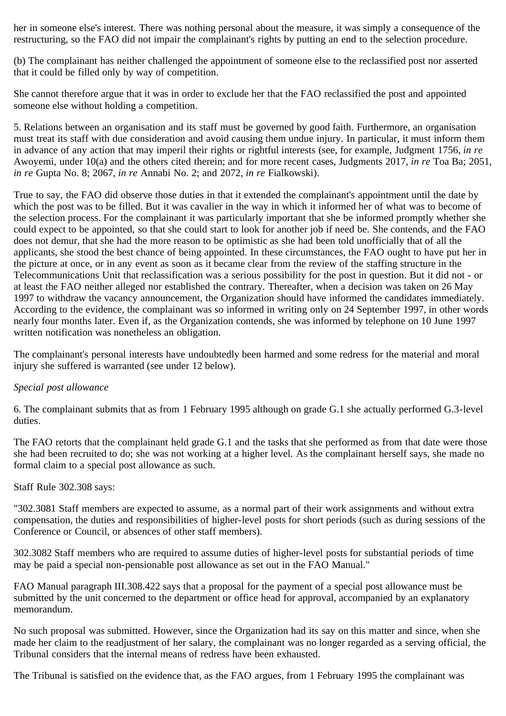her in someone else's interest. There was nothing personal about the measure, it was simply a consequence of the restructuring, so the FAO did not impair the complainant's rights by putting an end to the selection procedure.

(b) The complainant has neither challenged the appointment of someone else to the reclassified post nor asserted that it could be filled only by way of competition.

She cannot therefore argue that it was in order to exclude her that the FAO reclassified the post and appointed someone else without holding a competition.

5. Relations between an organisation and its staff must be governed by good faith. Furthermore, an organisation must treat its staff with due consideration and avoid causing them undue injury. In particular, it must inform them in advance of any action that may imperil their rights or rightful interests (see, for example, Judgment 1756, *in re* Awoyemi, under 10(a) and the others cited therein; and for more recent cases, Judgments 2017, *in re* Toa Ba; 2051, *in re* Gupta No. 8; 2067, *in re* Annabi No. 2; and 2072, *in re* Fialkowski).

True to say, the FAO did observe those duties in that it extended the complainant's appointment until the date by which the post was to be filled. But it was cavalier in the way in which it informed her of what was to become of the selection process. For the complainant it was particularly important that she be informed promptly whether she could expect to be appointed, so that she could start to look for another job if need be. She contends, and the FAO does not demur, that she had the more reason to be optimistic as she had been told unofficially that of all the applicants, she stood the best chance of being appointed. In these circumstances, the FAO ought to have put her in the picture at once, or in any event as soon as it became clear from the review of the staffing structure in the Telecommunications Unit that reclassification was a serious possibility for the post in question. But it did not - or at least the FAO neither alleged nor established the contrary. Thereafter, when a decision was taken on 26 May 1997 to withdraw the vacancy announcement, the Organization should have informed the candidates immediately. According to the evidence, the complainant was so informed in writing only on 24 September 1997, in other words nearly four months later. Even if, as the Organization contends, she was informed by telephone on 10 June 1997 written notification was nonetheless an obligation.

The complainant's personal interests have undoubtedly been harmed and some redress for the material and moral injury she suffered is warranted (see under 12 below).

## *Special post allowance*

6. The complainant submits that as from 1 February 1995 although on grade G.1 she actually performed G.3-level duties.

The FAO retorts that the complainant held grade G.1 and the tasks that she performed as from that date were those she had been recruited to do; she was not working at a higher level. As the complainant herself says, she made no formal claim to a special post allowance as such.

#### Staff Rule 302.308 says:

"302.3081 Staff members are expected to assume, as a normal part of their work assignments and without extra compensation, the duties and responsibilities of higher-level posts for short periods (such as during sessions of the Conference or Council, or absences of other staff members).

302.3082 Staff members who are required to assume duties of higher-level posts for substantial periods of time may be paid a special non-pensionable post allowance as set out in the FAO Manual."

FAO Manual paragraph III.308.422 says that a proposal for the payment of a special post allowance must be submitted by the unit concerned to the department or office head for approval, accompanied by an explanatory memorandum.

No such proposal was submitted. However, since the Organization had its say on this matter and since, when she made her claim to the readjustment of her salary, the complainant was no longer regarded as a serving official, the Tribunal considers that the internal means of redress have been exhausted.

The Tribunal is satisfied on the evidence that, as the FAO argues, from 1 February 1995 the complainant was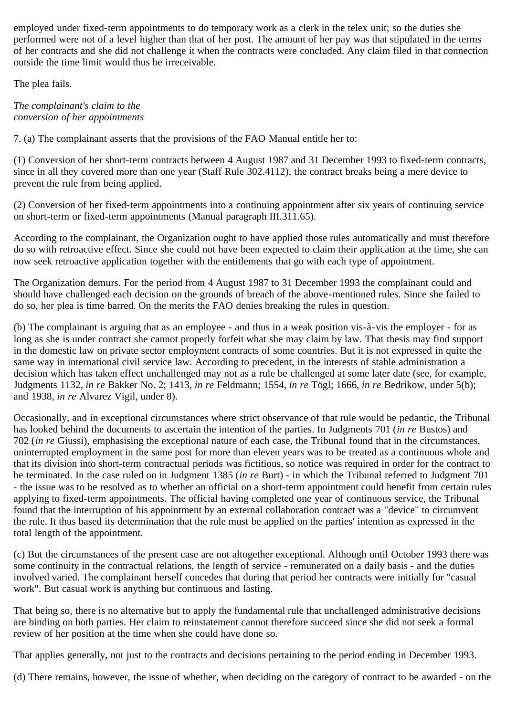employed under fixed-term appointments to do temporary work as a clerk in the telex unit; so the duties she performed were not of a level higher than that of her post. The amount of her pay was that stipulated in the terms of her contracts and she did not challenge it when the contracts were concluded. Any claim filed in that connection outside the time limit would thus be irreceivable.

The plea fails.

*The complainant's claim to the conversion of her appointments*

7. (a) The complainant asserts that the provisions of the FAO Manual entitle her to:

(1) Conversion of her short-term contracts between 4 August 1987 and 31 December 1993 to fixed-term contracts, since in all they covered more than one year (Staff Rule 302.4112), the contract breaks being a mere device to prevent the rule from being applied.

(2) Conversion of her fixed-term appointments into a continuing appointment after six years of continuing service on short-term or fixed-term appointments (Manual paragraph III.311.65).

According to the complainant, the Organization ought to have applied those rules automatically and must therefore do so with retroactive effect. Since she could not have been expected to claim their application at the time, she can now seek retroactive application together with the entitlements that go with each type of appointment.

The Organization demurs. For the period from 4 August 1987 to 31 December 1993 the complainant could and should have challenged each decision on the grounds of breach of the above-mentioned rules. Since she failed to do so, her plea is time barred. On the merits the FAO denies breaking the rules in question.

(b) The complainant is arguing that as an employee - and thus in a weak position vis-à-vis the employer - for as long as she is under contract she cannot properly forfeit what she may claim by law. That thesis may find support in the domestic law on private sector employment contracts of some countries. But it is not expressed in quite the same way in international civil service law. According to precedent, in the interests of stable administration a decision which has taken effect unchallenged may not as a rule be challenged at some later date (see, for example, Judgments 1132, *in re* Bakker No. 2; 1413, *in re* Feldmann; 1554, *in re* Tögl; 1666, *in re* Bedrikow, under 5(b); and 1938, *in re* Alvarez Vigil, under 8).

Occasionally, and in exceptional circumstances where strict observance of that rule would be pedantic, the Tribunal has looked behind the documents to ascertain the intention of the parties. In Judgments 701 (*in re* Bustos) and 702 (*in re* Giussi), emphasising the exceptional nature of each case, the Tribunal found that in the circumstances, uninterrupted employment in the same post for more than eleven years was to be treated as a continuous whole and that its division into short-term contractual periods was fictitious, so notice was required in order for the contract to be terminated. In the case ruled on in Judgment 1385 (*in re* Burt) - in which the Tribunal referred to Judgment 701 - the issue was to be resolved as to whether an official on a short-term appointment could benefit from certain rules applying to fixed-term appointments. The official having completed one year of continuous service, the Tribunal found that the interruption of his appointment by an external collaboration contract was a "device" to circumvent the rule. It thus based its determination that the rule must be applied on the parties' intention as expressed in the total length of the appointment.

(c) But the circumstances of the present case are not altogether exceptional. Although until October 1993 there was some continuity in the contractual relations, the length of service - remunerated on a daily basis - and the duties involved varied. The complainant herself concedes that during that period her contracts were initially for "casual work". But casual work is anything but continuous and lasting.

That being so, there is no alternative but to apply the fundamental rule that unchallenged administrative decisions are binding on both parties. Her claim to reinstatement cannot therefore succeed since she did not seek a formal review of her position at the time when she could have done so.

That applies generally, not just to the contracts and decisions pertaining to the period ending in December 1993.

(d) There remains, however, the issue of whether, when deciding on the category of contract to be awarded - on the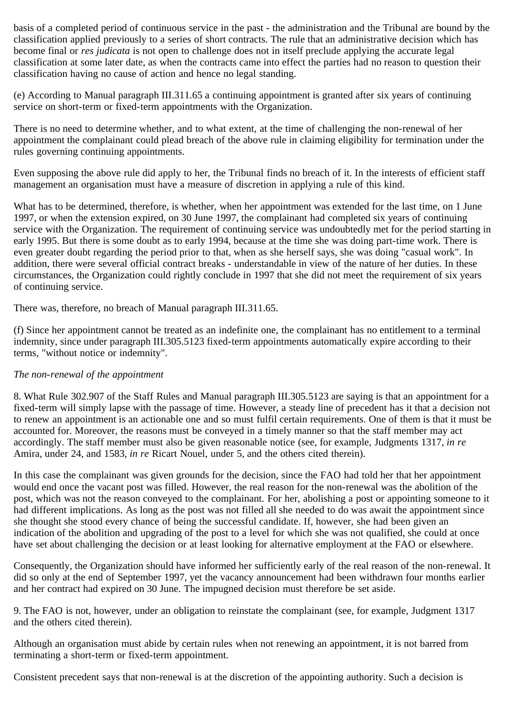basis of a completed period of continuous service in the past - the administration and the Tribunal are bound by the classification applied previously to a series of short contracts. The rule that an administrative decision which has become final or *res judicata* is not open to challenge does not in itself preclude applying the accurate legal classification at some later date, as when the contracts came into effect the parties had no reason to question their classification having no cause of action and hence no legal standing.

(e) According to Manual paragraph III.311.65 a continuing appointment is granted after six years of continuing service on short-term or fixed-term appointments with the Organization.

There is no need to determine whether, and to what extent, at the time of challenging the non-renewal of her appointment the complainant could plead breach of the above rule in claiming eligibility for termination under the rules governing continuing appointments.

Even supposing the above rule did apply to her, the Tribunal finds no breach of it. In the interests of efficient staff management an organisation must have a measure of discretion in applying a rule of this kind.

What has to be determined, therefore, is whether, when her appointment was extended for the last time, on 1 June 1997, or when the extension expired, on 30 June 1997, the complainant had completed six years of continuing service with the Organization. The requirement of continuing service was undoubtedly met for the period starting in early 1995. But there is some doubt as to early 1994, because at the time she was doing part-time work. There is even greater doubt regarding the period prior to that, when as she herself says, she was doing "casual work". In addition, there were several official contract breaks - understandable in view of the nature of her duties. In these circumstances, the Organization could rightly conclude in 1997 that she did not meet the requirement of six years of continuing service.

There was, therefore, no breach of Manual paragraph III.311.65.

(f) Since her appointment cannot be treated as an indefinite one, the complainant has no entitlement to a terminal indemnity, since under paragraph III.305.5123 fixed-term appointments automatically expire according to their terms, "without notice or indemnity".

### *The non-renewal of the appointment*

8. What Rule 302.907 of the Staff Rules and Manual paragraph III.305.5123 are saying is that an appointment for a fixed-term will simply lapse with the passage of time. However, a steady line of precedent has it that a decision not to renew an appointment is an actionable one and so must fulfil certain requirements. One of them is that it must be accounted for. Moreover, the reasons must be conveyed in a timely manner so that the staff member may act accordingly. The staff member must also be given reasonable notice (see, for example, Judgments 1317, *in re* Amira, under 24, and 1583, *in re* Ricart Nouel, under 5, and the others cited therein).

In this case the complainant was given grounds for the decision, since the FAO had told her that her appointment would end once the vacant post was filled. However, the real reason for the non-renewal was the abolition of the post, which was not the reason conveyed to the complainant. For her, abolishing a post or appointing someone to it had different implications. As long as the post was not filled all she needed to do was await the appointment since she thought she stood every chance of being the successful candidate. If, however, she had been given an indication of the abolition and upgrading of the post to a level for which she was not qualified, she could at once have set about challenging the decision or at least looking for alternative employment at the FAO or elsewhere.

Consequently, the Organization should have informed her sufficiently early of the real reason of the non-renewal. It did so only at the end of September 1997, yet the vacancy announcement had been withdrawn four months earlier and her contract had expired on 30 June. The impugned decision must therefore be set aside.

9. The FAO is not, however, under an obligation to reinstate the complainant (see, for example, Judgment 1317 and the others cited therein).

Although an organisation must abide by certain rules when not renewing an appointment, it is not barred from terminating a short-term or fixed-term appointment.

Consistent precedent says that non-renewal is at the discretion of the appointing authority. Such a decision is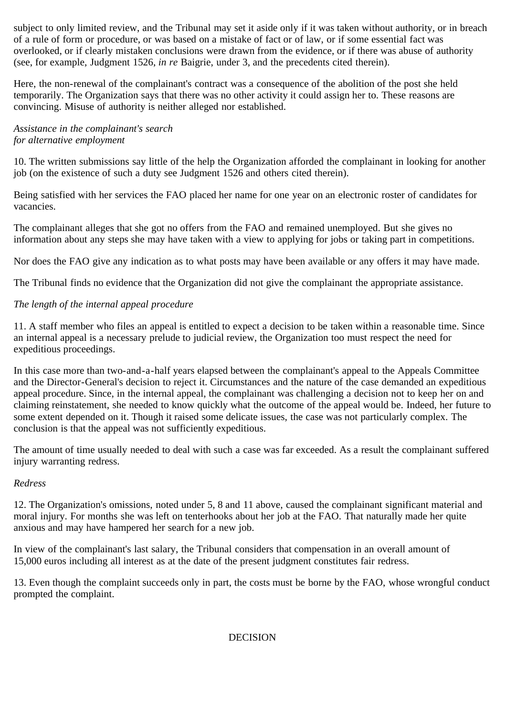subject to only limited review, and the Tribunal may set it aside only if it was taken without authority, or in breach of a rule of form or procedure, or was based on a mistake of fact or of law, or if some essential fact was overlooked, or if clearly mistaken conclusions were drawn from the evidence, or if there was abuse of authority (see, for example, Judgment 1526, *in re* Baigrie, under 3, and the precedents cited therein).

Here, the non-renewal of the complainant's contract was a consequence of the abolition of the post she held temporarily. The Organization says that there was no other activity it could assign her to. These reasons are convincing. Misuse of authority is neither alleged nor established.

## *Assistance in the complainant's search for alternative employment*

10. The written submissions say little of the help the Organization afforded the complainant in looking for another job (on the existence of such a duty see Judgment 1526 and others cited therein).

Being satisfied with her services the FAO placed her name for one year on an electronic roster of candidates for vacancies.

The complainant alleges that she got no offers from the FAO and remained unemployed. But she gives no information about any steps she may have taken with a view to applying for jobs or taking part in competitions.

Nor does the FAO give any indication as to what posts may have been available or any offers it may have made.

The Tribunal finds no evidence that the Organization did not give the complainant the appropriate assistance.

## *The length of the internal appeal procedure*

11. A staff member who files an appeal is entitled to expect a decision to be taken within a reasonable time. Since an internal appeal is a necessary prelude to judicial review, the Organization too must respect the need for expeditious proceedings.

In this case more than two-and-a-half years elapsed between the complainant's appeal to the Appeals Committee and the Director-General's decision to reject it. Circumstances and the nature of the case demanded an expeditious appeal procedure. Since, in the internal appeal, the complainant was challenging a decision not to keep her on and claiming reinstatement, she needed to know quickly what the outcome of the appeal would be. Indeed, her future to some extent depended on it. Though it raised some delicate issues, the case was not particularly complex. The conclusion is that the appeal was not sufficiently expeditious.

The amount of time usually needed to deal with such a case was far exceeded. As a result the complainant suffered injury warranting redress.

## *Redress*

12. The Organization's omissions, noted under 5, 8 and 11 above, caused the complainant significant material and moral injury. For months she was left on tenterhooks about her job at the FAO. That naturally made her quite anxious and may have hampered her search for a new job.

In view of the complainant's last salary, the Tribunal considers that compensation in an overall amount of 15,000 euros including all interest as at the date of the present judgment constitutes fair redress.

13. Even though the complaint succeeds only in part, the costs must be borne by the FAO, whose wrongful conduct prompted the complaint.

### DECISION